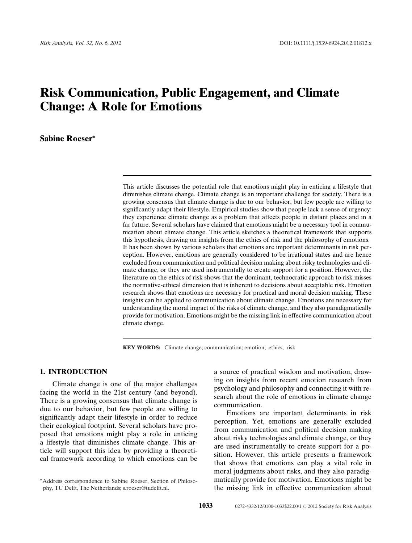# **Risk Communication, Public Engagement, and Climate Change: A Role for Emotions**

# **Sabine Roeser<sup>∗</sup>**

This article discusses the potential role that emotions might play in enticing a lifestyle that diminishes climate change. Climate change is an important challenge for society. There is a growing consensus that climate change is due to our behavior, but few people are willing to significantly adapt their lifestyle. Empirical studies show that people lack a sense of urgency: they experience climate change as a problem that affects people in distant places and in a far future. Several scholars have claimed that emotions might be a necessary tool in communication about climate change. This article sketches a theoretical framework that supports this hypothesis, drawing on insights from the ethics of risk and the philosophy of emotions. It has been shown by various scholars that emotions are important determinants in risk perception. However, emotions are generally considered to be irrational states and are hence excluded from communication and political decision making about risky technologies and climate change, or they are used instrumentally to create support for a position. However, the literature on the ethics of risk shows that the dominant, technocratic approach to risk misses the normative-ethical dimension that is inherent to decisions about acceptable risk. Emotion research shows that emotions are necessary for practical and moral decision making. These insights can be applied to communication about climate change. Emotions are necessary for understanding the moral impact of the risks of climate change, and they also paradigmatically provide for motivation. Emotions might be the missing link in effective communication about climate change.

**KEY WORDS:** Climate change; communication; emotion; ethics; risk

#### **1. INTRODUCTION**

Climate change is one of the major challenges facing the world in the 21st century (and beyond). There is a growing consensus that climate change is due to our behavior, but few people are willing to significantly adapt their lifestyle in order to reduce their ecological footprint. Several scholars have proposed that emotions might play a role in enticing a lifestyle that diminishes climate change. This article will support this idea by providing a theoretical framework according to which emotions can be

a source of practical wisdom and motivation, drawing on insights from recent emotion research from psychology and philosophy and connecting it with research about the role of emotions in climate change communication.

Emotions are important determinants in risk perception. Yet, emotions are generally excluded from communication and political decision making about risky technologies and climate change, or they are used instrumentally to create support for a position. However, this article presents a framework that shows that emotions can play a vital role in moral judgments about risks, and they also paradigmatically provide for motivation. Emotions might be the missing link in effective communication about

<sup>∗</sup>Address correspondence to Sabine Roeser, Section of Philosophy, TU Delft, The Netherlands; s.roeser@tudelft.nl.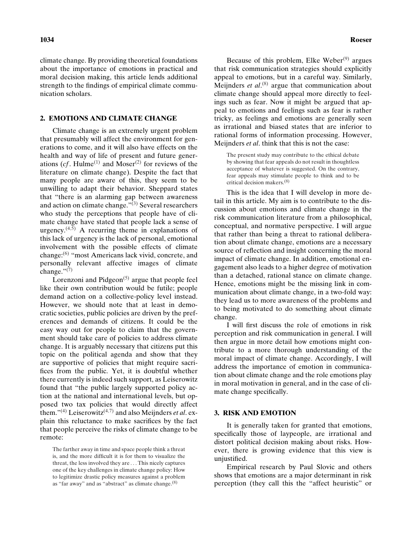climate change. By providing theoretical foundations about the importance of emotions in practical and moral decision making, this article lends additional strength to the findings of empirical climate communication scholars.

### **2. EMOTIONS AND CLIMATE CHANGE**

Climate change is an extremely urgent problem that presumably will affect the environment for generations to come, and it will also have effects on the health and way of life of present and future generations  $(cf. Hulme<sup>(1)</sup>$  and Moser<sup>(2)</sup> for reviews of the literature on climate change). Despite the fact that many people are aware of this, they seem to be unwilling to adapt their behavior. Sheppard states that "there is an alarming gap between awareness and action on climate change." $^{(3)}$  Several researchers who study the perceptions that people have of climate change have stated that people lack a sense of urgency. $(4,5)$  A recurring theme in explanations of this lack of urgency is the lack of personal, emotional involvement with the possible effects of climate change:(6) "most Americans lack vivid, concrete, and personally relevant affective images of climate change." $(7)$ 

Lorenzoni and Pidgeon $(5)$  argue that people feel like their own contribution would be futile; people demand action on a collective-policy level instead. However, we should note that at least in democratic societies, public policies are driven by the preferences and demands of citizens. It could be the easy way out for people to claim that the government should take care of policies to address climate change. It is arguably necessary that citizens put this topic on the political agenda and show that they are supportive of policies that might require sacrifices from the public. Yet, it is doubtful whether there currently is indeed such support, as Leiserowitz found that "the public largely supported policy action at the national and international levels, but opposed two tax policies that would directly affect them."(4) Leiserowitz(4*,*7) and also Meijnders *et al*. explain this reluctance to make sacrifices by the fact that people perceive the risks of climate change to be remote:

The farther away in time and space people think a threat is, and the more difficult it is for them to visualize the threat, the less involved they are *...*This nicely captures one of the key challenges in climate change policy: How to legitimize drastic policy measures against a problem as "far away" and as "abstract" as climate change.(8)

Because of this problem, Elke Weber $(9)$  argues that risk communication strategies should explicitly appeal to emotions, but in a careful way. Similarly, Meijnders *et al*.<sup>(8)</sup> argue that communication about climate change should appeal more directly to feelings such as fear. Now it might be argued that appeal to emotions and feelings such as fear is rather tricky, as feelings and emotions are generally seen as irrational and biased states that are inferior to rational forms of information processing. However, Meijnders *et al*. think that this is not the case:

The present study may contribute to the ethical debate by showing that fear appeals do not result in thoughtless acceptance of whatever is suggested. On the contrary, fear appeals may stimulate people to think and to be critical decision makers.(8)

This is the idea that I will develop in more detail in this article. My aim is to contribute to the discussion about emotions and climate change in the risk communication literature from a philosophical, conceptual, and normative perspective. I will argue that rather than being a threat to rational deliberation about climate change, emotions are a necessary source of reflection and insight concerning the moral impact of climate change. In addition, emotional engagement also leads to a higher degree of motivation than a detached, rational stance on climate change. Hence, emotions might be the missing link in communication about climate change, in a two-fold way: they lead us to more awareness of the problems and to being motivated to do something about climate change.

I will first discuss the role of emotions in risk perception and risk communication in general. I will then argue in more detail how emotions might contribute to a more thorough understanding of the moral impact of climate change. Accordingly, I will address the importance of emotion in communication about climate change and the role emotions play in moral motivation in general, and in the case of climate change specifically.

#### **3. RISK AND EMOTION**

It is generally taken for granted that emotions, specifically those of laypeople, are irrational and distort political decision making about risks. However, there is growing evidence that this view is unjustified.

Empirical research by Paul Slovic and others shows that emotions are a major determinant in risk perception (they call this the "affect heuristic" or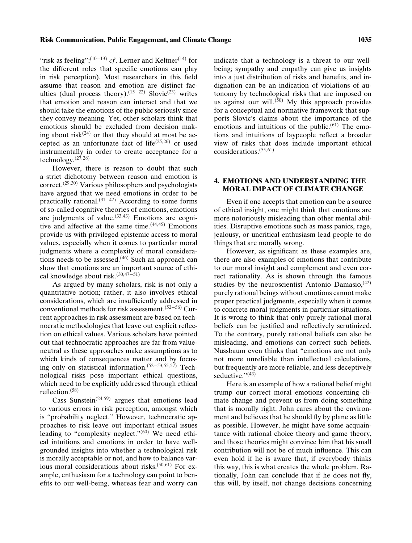"risk as feeling";<sup>(10−13)</sup> *cf*. Lerner and Keltner<sup>(14)</sup> for the different roles that specific emotions can play in risk perception). Most researchers in this field assume that reason and emotion are distinct faculties (dual process theory).<sup>(15−22)</sup> Slovic<sup>(23)</sup> writes that emotion and reason can interact and that we should take the emotions of the public seriously since they convey meaning. Yet, other scholars think that emotions should be excluded from decision making about risk<sup> $(24)$ </sup> or that they should at most be accepted as an unfortunate fact of life(25*,*26) or used instrumentally in order to create acceptance for a technology.(27*,*28)

However, there is reason to doubt that such a strict dichotomy between reason and emotion is correct.(29*,*30) Various philosophers and psychologists have argued that we need emotions in order to be practically rational. $(31-42)$  According to some forms of so-called cognitive theories of emotions, emotions are judgments of value.(33*,*43) Emotions are cognitive and affective at the same time.(44*,*45) Emotions provide us with privileged epistemic access to moral values, especially when it comes to particular moral judgments where a complexity of moral considerations needs to be assessed.<sup> $(46)$ </sup> Such an approach can show that emotions are an important source of ethical knowledge about risk.(30*,*47−51)

As argued by many scholars, risk is not only a quantitative notion; rather, it also involves ethical considerations, which are insufficiently addressed in conventional methods for risk assessment.(52−56) Current approaches in risk assessment are based on technocratic methodologies that leave out explicit reflection on ethical values. Various scholars have pointed out that technocratic approaches are far from valueneutral as these approaches make assumptions as to which kinds of consequences matter and by focusing only on statistical information.(52−53*,*55*,*57) Technological risks pose important ethical questions, which need to be explicitly addressed through ethical reflection.(58)

Cass Sunstein(24*,*59) argues that emotions lead to various errors in risk perception, amongst which is "probability neglect." However, technocratic approaches to risk leave out important ethical issues leading to "complexity neglect."<sup>(60)</sup> We need ethical intuitions and emotions in order to have wellgrounded insights into whether a technological risk is morally acceptable or not, and how to balance various moral considerations about risks.(50*,*61) For example, enthusiasm for a technology can point to benefits to our well-being, whereas fear and worry can indicate that a technology is a threat to our wellbeing; sympathy and empathy can give us insights into a just distribution of risks and benefits, and indignation can be an indication of violations of autonomy by technological risks that are imposed on us against our will. $(50)$  My this approach provides for a conceptual and normative framework that supports Slovic's claims about the importance of the emotions and intuitions of the public.<sup> $(61)$ </sup> The emotions and intuitions of laypeople reflect a broader view of risks that does include important ethical considerations.(55*,*61)

# **4. EMOTIONS AND UNDERSTANDING THE MORAL IMPACT OF CLIMATE CHANGE**

Even if one accepts that emotion can be a source of ethical insight, one might think that emotions are more notoriously misleading than other mental abilities. Disruptive emotions such as mass panics, rage, jealousy, or uncritical enthusiasm lead people to do things that are morally wrong.

However, as significant as these examples are, there are also examples of emotions that contribute to our moral insight and complement and even correct rationality. As is shown through the famous studies by the neuroscientist Antonio Damasio,  $(42)$ purely rational beings without emotions cannot make proper practical judgments, especially when it comes to concrete moral judgments in particular situations. It is wrong to think that only purely rational moral beliefs can be justified and reflectively scrutinized. To the contrary, purely rational beliefs can also be misleading, and emotions can correct such beliefs. Nussbaum even thinks that "emotions are not only not more unreliable than intellectual calculations, but frequently are more reliable, and less deceptively seductive."<sup>(43)</sup>

Here is an example of how a rational belief might trump our correct moral emotions concerning climate change and prevent us from doing something that is morally right. John cares about the environment and believes that he should fly by plane as little as possible. However, he might have some acquaintance with rational choice theory and game theory, and those theories might convince him that his small contribution will not be of much influence. This can even hold if he is aware that, if everybody thinks this way, this is what creates the whole problem. Rationally, John can conclude that if he does not fly, this will, by itself, not change decisions concerning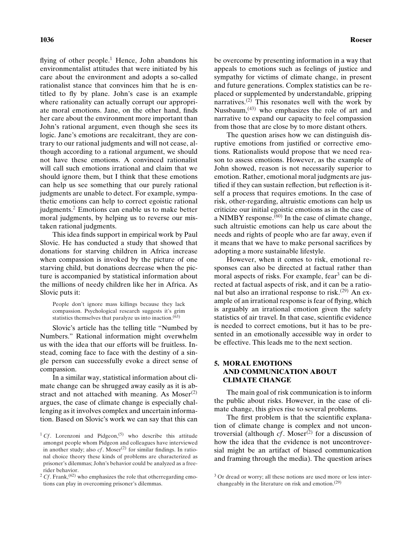flying of other people.<sup>1</sup> Hence, John abandons his environmentalist attitudes that were initiated by his care about the environment and adopts a so-called rationalist stance that convinces him that he is entitled to fly by plane. John's case is an example where rationality can actually corrupt our appropriate moral emotions. Jane, on the other hand, finds her care about the environment more important than John's rational argument, even though she sees its logic. Jane's emotions are recalcitrant, they are contrary to our rational judgments and will not cease, although according to a rational argument, we should not have these emotions. A convinced rationalist will call such emotions irrational and claim that we should ignore them, but I think that these emotions can help us see something that our purely rational judgments are unable to detect. For example, sympathetic emotions can help to correct egoistic rational judgments.2 Emotions can enable us to make better moral judgments, by helping us to reverse our mistaken rational judgments.

This idea finds support in empirical work by Paul Slovic. He has conducted a study that showed that donations for starving children in Africa increase when compassion is invoked by the picture of one starving child, but donations decrease when the picture is accompanied by statistical information about the millions of needy children like her in Africa. As Slovic puts it:

People don't ignore mass killings because they lack compassion. Psychological research suggests it's grim statistics themselves that paralyze us into inaction.(63)

Slovic's article has the telling title "Numbed by Numbers." Rational information might overwhelm us with the idea that our efforts will be fruitless. Instead, coming face to face with the destiny of a single person can successfully evoke a direct sense of compassion.

In a similar way, statistical information about climate change can be shrugged away easily as it is abstract and not attached with meaning. As  $Moser^{(2)}$ argues, the case of climate change is especially challenging as it involves complex and uncertain information. Based on Slovic's work we can say that this can be overcome by presenting information in a way that appeals to emotions such as feelings of justice and sympathy for victims of climate change, in present and future generations. Complex statistics can be replaced or supplemented by understandable, gripping narratives.<sup>(2)</sup> This resonates well with the work by Nussbaum, $(43)$  who emphasizes the role of art and narrative to expand our capacity to feel compassion from those that are close by to more distant others.

The question arises how we can distinguish disruptive emotions from justified or corrective emotions. Rationalists would propose that we need reason to assess emotions. However, as the example of John showed, reason is not necessarily superior to emotion. Rather, emotional moral judgments are justified if they can sustain reflection, but reflection is itself a process that requires emotions. In the case of risk, other-regarding, altruistic emotions can help us criticize our initial egoistic emotions as in the case of a NIMBY response.<sup>(60)</sup> In the case of climate change, such altruistic emotions can help us care about the needs and rights of people who are far away, even if it means that we have to make personal sacrifices by adopting a more sustainable lifestyle.

However, when it comes to risk, emotional responses can also be directed at factual rather than moral aspects of risks. For example, fear<sup>3</sup> can be directed at factual aspects of risk, and it can be a rational but also an irrational response to risk.<sup>(29)</sup> An example of an irrational response is fear of flying, which is arguably an irrational emotion given the safety statistics of air travel. In that case, scientific evidence is needed to correct emotions, but it has to be presented in an emotionally accessible way in order to be effective. This leads me to the next section.

# **5. MORAL EMOTIONS AND COMMUNICATION ABOUT CLIMATE CHANGE**

The main goal of risk communication is to inform the public about risks. However, in the case of climate change, this gives rise to several problems.

The first problem is that the scientific explanation of climate change is complex and not uncontroversial (although  $cf$ . Moser $^{(2)}$  for a discussion of how the idea that the evidence is not uncontroversial might be an artifact of biased communication and framing through the media). The question arises

<sup>&</sup>lt;sup>1</sup> *Cf*. Lorenzoni and Pidgeon,<sup>(5)</sup> who describe this attitude amongst people whom Pidgeon and colleagues have interviewed in another study; also  $cf.$  Moser<sup>(2)</sup> for similar findings. In rational choice theory these kinds of problems are characterized as prisoner's dilemmas; John's behavior could be analyzed as a freerider behavior.

<sup>&</sup>lt;sup>2</sup> *Cf*. Frank,<sup>(62)</sup> who emphasizes the role that otherregarding emotions can play in overcoming prisoner's dilemmas.

<sup>&</sup>lt;sup>3</sup> Or dread or worry; all these notions are used more or less interchangeably in the literature on risk and emotion.(29)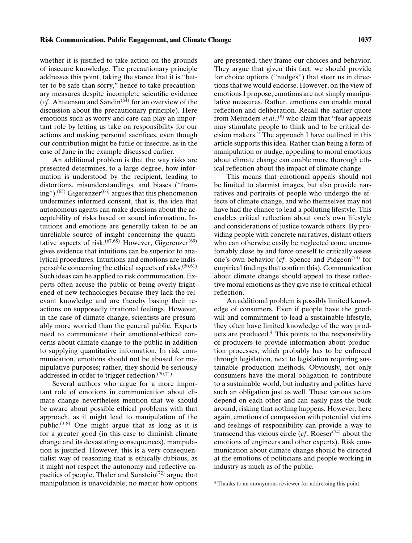whether it is justified to take action on the grounds of insecure knowledge. The precautionary principle addresses this point, taking the stance that it is "better to be safe than sorry," hence to take precautionary measures despite incomplete scientific evidence ( $cf.$  Ahteensuu and Sandin<sup> $(64)$ </sup> for an overview of the discussion about the precautionary principle). Here emotions such as worry and care can play an important role by letting us take on responsibility for our actions and making personal sacrifices, even though our contribution might be futile or insecure, as in the case of Jane in the example discussed earlier.

An additional problem is that the way risks are presented determines, to a large degree, how information is understood by the recipient, leading to distortions, misunderstandings, and biases ("framing").<sup>(65)</sup> Gigerenzer<sup>(66)</sup> argues that this phenomenon undermines informed consent, that is, the idea that autonomous agents can make decisions about the acceptability of risks based on sound information. Intuitions and emotions are generally taken to be an unreliable source of insight concerning the quantitative aspects of risk.<sup>(67,68)</sup> However, Gigerenzer<sup>(69)</sup> gives evidence that intuitions can be superior to analytical procedures. Intuitions and emotions are indispensable concerning the ethical aspects of risks.(50*,*61) Such ideas can be applied to risk communication. Experts often accuse the public of being overly frightened of new technologies because they lack the relevant knowledge and are thereby basing their reactions on supposedly irrational feelings. However, in the case of climate change, scientists are presumably more worried than the general public. Experts need to communicate their emotional-ethical concerns about climate change to the public in addition to supplying quantitative information. In risk communication, emotions should not be abused for manipulative purposes; rather, they should be seriously addressed in order to trigger reflection.(70*,*71)

Several authors who argue for a more important role of emotions in communication about climate change nevertheless mention that we should be aware about possible ethical problems with that approach, as it might lead to manipulation of the public.(3*,*8) One might argue that as long as it is for a greater good (in this case to diminish climate change and its devastating consequences), manipulation is justified. However, this is a very consequentialist way of reasoning that is ethically dubious, as it might not respect the autonomy and reflective capacities of people. Thaler and Sunstein<sup> $(72)$ </sup> argue that manipulation is unavoidable; no matter how options

are presented, they frame our choices and behavior. They argue that given this fact, we should provide for choice options ("nudges") that steer us in directions that we would endorse. However, on the view of emotions I propose, emotions are not simply manipulative measures. Rather, emotions can enable moral reflection and deliberation. Recall the earlier quote from Meijnders *et al.*,<sup>(8)</sup> who claim that "fear appeals" may stimulate people to think and to be critical decision makers." The approach I have outlined in this article supports this idea. Rather than being a form of manipulation or nudge, appealing to moral emotions about climate change can enable more thorough ethical reflection about the impact of climate change.

This means that emotional appeals should not be limited to alarmist images, but also provide narratives and portraits of people who undergo the effects of climate change, and who themselves may not have had the chance to lead a polluting lifestyle. This enables critical reflection about one's own lifestyle and considerations of justice towards others. By providing people with concrete narratives, distant others who can otherwise easily be neglected come uncomfortably close by and force oneself to critically assess one's own behavior (*cf*. Spence and Pidgeon<sup> $(73)$ </sup> for empirical findings that confirm this). Communication about climate change should appeal to these reflective moral emotions as they give rise to critical ethical reflection.

An additional problem is possibly limited knowledge of consumers. Even if people have the goodwill and commitment to lead a sustainable lifestyle, they often have limited knowledge of the way products are produced. $4$  This points to the responsibility of producers to provide information about production processes, which probably has to be enforced through legislation, next to legislation requiring sustainable production methods. Obviously, not only consumers have the moral obligation to contribute to a sustainable world, but industry and politics have such an obligation just as well. These various actors depend on each other and can easily pass the buck around, risking that nothing happens. However, here again, emotions of compassion with potential victims and feelings of responsibility can provide a way to transcend this vicious circle  $(cf. \text{Roeser}^{(74)}$  about the emotions of engineers and other experts). Risk communication about climate change should be directed at the emotions of politicians and people working in industry as much as of the public.

#### **Risk Communication, Public Engagement, and Climate Change 1037**

<sup>4</sup> Thanks to an anonymous reviewer for addressing this point.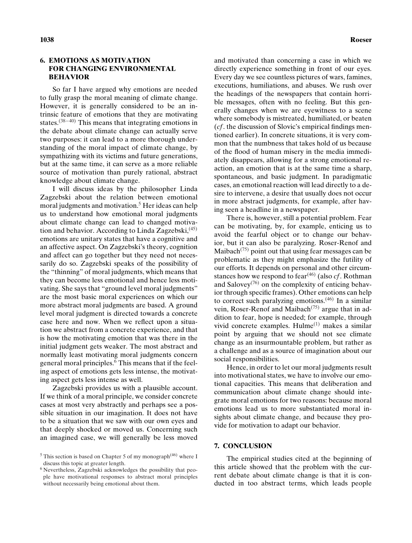# **6. EMOTIONS AS MOTIVATION FOR CHANGING ENVIRONMENTAL BEHAVIOR**

So far I have argued why emotions are needed to fully grasp the moral meaning of climate change. However, it is generally considered to be an intrinsic feature of emotions that they are motivating states.(38−40) This means that integrating emotions in the debate about climate change can actually serve two purposes: it can lead to a more thorough understanding of the moral impact of climate change, by sympathizing with its victims and future generations, but at the same time, it can serve as a more reliable source of motivation than purely rational, abstract knowledge about climate change.

I will discuss ideas by the philosopher Linda Zagzebski about the relation between emotional moral judgments and motivation.<sup>5</sup> Her ideas can help us to understand how emotional moral judgments about climate change can lead to changed motivation and behavior. According to Linda Zagzebski, $(45)$ emotions are unitary states that have a cognitive and an affective aspect. On Zagzebski's theory, cognition and affect can go together but they need not necessarily do so. Zagzebski speaks of the possibility of the "thinning" of moral judgments, which means that they can become less emotional and hence less motivating. She says that "ground level moral judgments" are the most basic moral experiences on which our more abstract moral judgments are based. A ground level moral judgment is directed towards a concrete case here and now. When we reflect upon a situation we abstract from a concrete experience, and that is how the motivating emotion that was there in the initial judgment gets weaker. The most abstract and normally least motivating moral judgments concern general moral principles.<sup>6</sup> This means that if the feeling aspect of emotions gets less intense, the motivating aspect gets less intense as well.

Zagzebski provides us with a plausible account. If we think of a moral principle, we consider concrete cases at most very abstractly and perhaps see a possible situation in our imagination. It does not have to be a situation that we saw with our own eyes and that deeply shocked or moved us. Concerning such an imagined case, we will generally be less moved and motivated than concerning a case in which we directly experience something in front of our eyes. Every day we see countless pictures of wars, famines, executions, humiliations, and abuses. We rush over the headings of the newspapers that contain horrible messages, often with no feeling. But this generally changes when we are eyewitness to a scene where somebody is mistreated, humiliated, or beaten (*cf*. the discussion of Slovic's empirical findings mentioned earlier). In concrete situations, it is very common that the numbness that takes hold of us because of the flood of human misery in the media immediately disappears, allowing for a strong emotional reaction, an emotion that is at the same time a sharp, spontaneous, and basic judgment. In paradigmatic cases, an emotional reaction will lead directly to a desire to intervene, a desire that usually does not occur in more abstract judgments, for example, after having seen a headline in a newspaper.

There is, however, still a potential problem. Fear can be motivating, by, for example, enticing us to avoid the fearful object or to change our behavior, but it can also be paralyzing. Roser-Renof and Maibach<sup>(75)</sup> point out that using fear messages can be problematic as they might emphasize the futility of our efforts. It depends on personal and other circumstances how we respond to fear<sup> $(46)$ </sup> (also *cf*. Rothman and Salovey<sup>(76)</sup> on the complexity of enticing behavior through specific frames). Other emotions can help to correct such paralyzing emotions.(46) In a similar vein, Roser-Renof and Maibach<sup> $(75)$ </sup> argue that in addition to fear, hope is needed; for example, through vivid concrete examples. Hulme $^{(1)}$  makes a similar point by arguing that we should not see climate change as an insurmountable problem, but rather as a challenge and as a source of imagination about our social responsibilities.

Hence, in order to let our moral judgments result into motivational states, we have to involve our emotional capacities. This means that deliberation and communication about climate change should integrate moral emotions for two reasons: because moral emotions lead us to more substantiated moral insights about climate change, and because they provide for motivation to adapt our behavior.

### **7. CONCLUSION**

The empirical studies cited at the beginning of this article showed that the problem with the current debate about climate change is that it is conducted in too abstract terms, which leads people

 $5$  This section is based on Chapter 5 of my monograph<sup>(46)</sup> where I discuss this topic at greater length.

<sup>6</sup> Nevertheless, Zagzebski acknowledges the possibility that people have motivational responses to abstract moral principles without necessarily being emotional about them.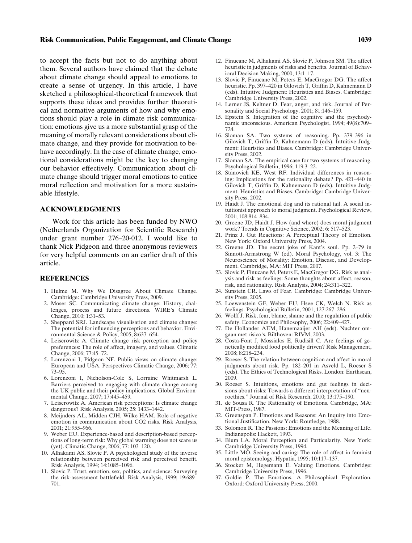to accept the facts but not to do anything about them. Several authors have claimed that the debate about climate change should appeal to emotions to create a sense of urgency. In this article, I have sketched a philosophical-theoretical framework that supports these ideas and provides further theoretical and normative arguments of how and why emotions should play a role in climate risk communication: emotions give us a more substantial grasp of the meaning of morally relevant considerations about climate change, and they provide for motivation to behave accordingly. In the case of climate change, emotional considerations might be the key to changing our behavior effectively. Communication about climate change should trigger moral emotions to entice moral reflection and motivation for a more sustainable lifestyle.

#### **ACKNOWLEDGMENTS**

Work for this article has been funded by NWO (Netherlands Organization for Scientific Research) under grant number 276–20-012. I would like to thank Nick Pidgeon and three anonymous reviewers for very helpful comments on an earlier draft of this article.

#### **REFERENCES**

- 1. Hulme M. Why We Disagree About Climate Change. Cambridge: Cambridge University Press, 2009.
- 2. Moser SC. Communicating climate change: History, challenges, process and future directions. WIRE's Climate Change, 2010; 1:31–53.
- 3. Sheppard SRJ. Landscape visualisation and climate change: The potential for influencing perceptions and behavior. Environmental Science & Policy, 2005; 8:637–654.
- 4. Leiserowitz A. Climate change risk perception and policy preferences: The role of affect, imagery, and values. Climatic Change, 2006; 77:45–72.
- 5. Lorenzoni I, Pidgeon NF. Public views on climate change: European and USA. Perspectives Climatic Change, 2006; 77: 73–95.
- 6. Lorenzoni I, Nicholson-Cole S, Lorraine Whitmarsh L. Barriers perceived to engaging with climate change among the UK public and their policy implications. Global Environmental Change, 2007; 17:445–459.
- 7. Leiserowitz A. American risk perceptions: Is climate change dangerous? Risk Analysis, 2005; 25: 1433–1442.
- 8. Meijnders AL, Midden CJH, Wilke HAM. Role of negative emotion in communication about CO2 risks. Risk Analysis, 2001; 21:955–966.
- 9. Weber EU. Experience-based and description-based perceptions of long-term risk: Why global warming does not scare us (yet). Climatic Change, 2006; 77: 103–120.
- 10. Alhakami AS, Slovic P. A psychological study of the inverse relationship between perceived risk and perceived benefit. Risk Analysis, 1994; 14:1085–1096.
- 11. Slovic P. Trust, emotion, sex, politics, and science: Surveying the risk-assessment battlefield. Risk Analysis, 1999; 19:689– 701.
- 12. Finucane M, Alhakami AS, Slovic P, Johnson SM. The affect heuristic in judgments of risks and benefits. Journal of Behavioral Decision Making, 2000; 13:1–17.
- 13. Slovic P, Finucane M, Peters E, MacGregor DG. The affect heuristic. Pp. 397–420 in Gilovich T, Griffin D, Kahnemann D (eds). Intuitive Judgment: Heuristics and Biases. Cambridge: Cambridge University Press, 2002.
- 14. Lerner JS, Keltner D. Fear, anger, and risk. Journal of Personality and Social Pyschology, 2001; 81:146–159.
- 15. Epstein S. Integration of the cognitive and the psychodynamic unconscious. American Psychologist, 1994; 49(8):709– 724.
- 16. Sloman SA. Two systems of reasoning. Pp. 379–396 in Gilovich T, Griffin D, Kahnemann D (eds). Intuitive Judgment: Heuristics and Biases. Cambridge: Cambridge University Press, 2002.
- 17. Sloman SA. The empirical case for two systems of reasoning. Psychological Bulletin, 1996; 119:3–22.
- 18. Stanovich KE, West RF. Individual differences in reasoning: Implications for the rationality debate? Pp. 421–440 in Gilovich T, Griffin D, Kahnemann D (eds). Intuitive Judgment: Heuristics and Biases. Cambridge: Cambridge University Press, 2002.
- 19. Haidt J. The emotional dog and its rational tail. A social intuitionist approach to moral judgment. Psychological Review, 2001; 108:814–834.
- 20. Greene JD, Haidt J. How (and where) does moral judgment work? Trends in Cognitive Science, 2002; 6: 517–523.
- 21. Prinz J. Gut Reactions: A Perceptual Theory of Emotion. New York: Oxford University Press, 2004.
- 22. Greene JD. The secret joke of Kant's soul. Pp. 2–79 in Sinnott-Armstrong W (ed). Moral Psychology, vol. 3: The Neuroscience of Morality: Emotion, Disease, and Development. Cambridge, MA: MIT Press, 2007.
- 23. Slovic P, Finucane M, Peters E, MacGregor DG. Risk as analysis and risk as feelings: Some thoughts about affect, reason, risk, and rationality. Risk Analysis, 2004; 24:311–322.
- 24. Sunstein CR. Laws of Fear. Cambridge: Cambridge University Press, 2005.
- 25. Loewenstein GF, Weber EU, Hsee CK, Welch N. Risk as feelings. Psychological Bulletin, 2001; 127:267–286.
- 26. Wolff J. Risk, fear, blame, shame and the regulation of public safety. Economics and Philosophy, 2006; 22:409–427.
- 27. De Hollander AEM, Hanemaaijer AH (eds). Nuchter omgaan met risico's. Bilthoven: RIVM, 2003.
- 28. Costa-Font J, Mossialos E, Rudisill C. Are feelings of genetically modified food politically driven? Risk Management, 2008; 8:218–234.
- 29. Roeser S. The relation between cognition and affect in moral judgments about risk. Pp. 182–201 in Asveld L, Roeser S (eds). The Ethics of Technological Risks. London: Earthscan, 2009.
- 30. Roeser S. Intuitions, emotions and gut feelings in decisions about risks: Towards a different interpretation of "neuroethics." Journal of Risk Research, 2010; 13:175–190.
- 31. de Sousa R. The Rationality of Emotions. Cambridge, MA: MIT-Press, 1987.
- 32. Greenspan P. Emotions and Reasons: An Inquiry into Emotional Justification. New York: Routledge, 1988.
- 33. Solomon R. The Passions: Emotions and the Meaning of Life. Indianapolis: Hackett, 1993.
- 34. Blum LA. Moral Perception and Particularity. New York: Cambridge University Press, 1994.
- 35. Little MO. Seeing and caring: The role of affect in feminist moral epistemology. Hypatia, 1995; 10:117–137.
- 36. Stocker M, Hegemann E. Valuing Emotions. Cambridge: Cambridge University Press, 1996.
- 37. Goldie P. The Emotions. A Philosophical Exploration. Oxford: Oxford University Press, 2000.